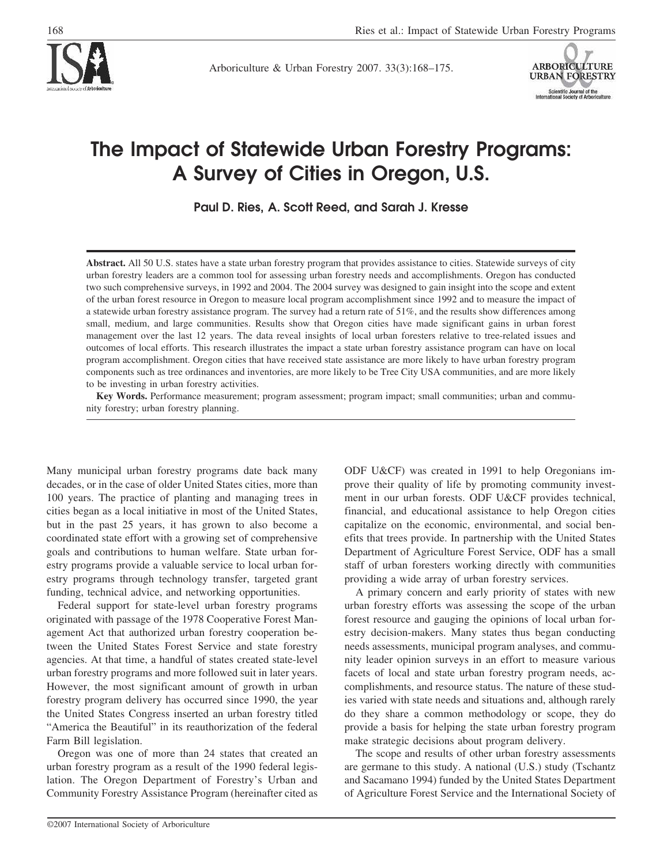

Arboriculture & Urban Forestry 2007. 33(3):168–175.



# **The Impact of Statewide Urban Forestry Programs: A Survey of Cities in Oregon, U.S.**

**Paul D. Ries, A. Scott Reed, and Sarah J. Kresse**

Abstract. All 50 U.S. states have a state urban forestry program that provides assistance to cities. Statewide surveys of city urban forestry leaders are a common tool for assessing urban forestry needs and accomplishments. Oregon has conducted two such comprehensive surveys, in 1992 and 2004. The 2004 survey was designed to gain insight into the scope and extent of the urban forest resource in Oregon to measure local program accomplishment since 1992 and to measure the impact of a statewide urban forestry assistance program. The survey had a return rate of 51%, and the results show differences among small, medium, and large communities. Results show that Oregon cities have made significant gains in urban forest management over the last 12 years. The data reveal insights of local urban foresters relative to tree-related issues and outcomes of local efforts. This research illustrates the impact a state urban forestry assistance program can have on local program accomplishment. Oregon cities that have received state assistance are more likely to have urban forestry program components such as tree ordinances and inventories, are more likely to be Tree City USA communities, and are more likely to be investing in urban forestry activities.

**Key Words.** Performance measurement; program assessment; program impact; small communities; urban and community forestry; urban forestry planning.

Many municipal urban forestry programs date back many decades, or in the case of older United States cities, more than 100 years. The practice of planting and managing trees in cities began as a local initiative in most of the United States, but in the past 25 years, it has grown to also become a coordinated state effort with a growing set of comprehensive goals and contributions to human welfare. State urban forestry programs provide a valuable service to local urban forestry programs through technology transfer, targeted grant funding, technical advice, and networking opportunities.

Federal support for state-level urban forestry programs originated with passage of the 1978 Cooperative Forest Management Act that authorized urban forestry cooperation between the United States Forest Service and state forestry agencies. At that time, a handful of states created state-level urban forestry programs and more followed suit in later years. However, the most significant amount of growth in urban forestry program delivery has occurred since 1990, the year the United States Congress inserted an urban forestry titled "America the Beautiful" in its reauthorization of the federal Farm Bill legislation.

Oregon was one of more than 24 states that created an urban forestry program as a result of the 1990 federal legislation. The Oregon Department of Forestry's Urban and Community Forestry Assistance Program (hereinafter cited as

ODF U&CF) was created in 1991 to help Oregonians improve their quality of life by promoting community investment in our urban forests. ODF U&CF provides technical, financial, and educational assistance to help Oregon cities capitalize on the economic, environmental, and social benefits that trees provide. In partnership with the United States Department of Agriculture Forest Service, ODF has a small staff of urban foresters working directly with communities providing a wide array of urban forestry services.

A primary concern and early priority of states with new urban forestry efforts was assessing the scope of the urban forest resource and gauging the opinions of local urban forestry decision-makers. Many states thus began conducting needs assessments, municipal program analyses, and community leader opinion surveys in an effort to measure various facets of local and state urban forestry program needs, accomplishments, and resource status. The nature of these studies varied with state needs and situations and, although rarely do they share a common methodology or scope, they do provide a basis for helping the state urban forestry program make strategic decisions about program delivery.

The scope and results of other urban forestry assessments are germane to this study. A national (U.S.) study (Tschantz and Sacamano 1994) funded by the United States Department of Agriculture Forest Service and the International Society of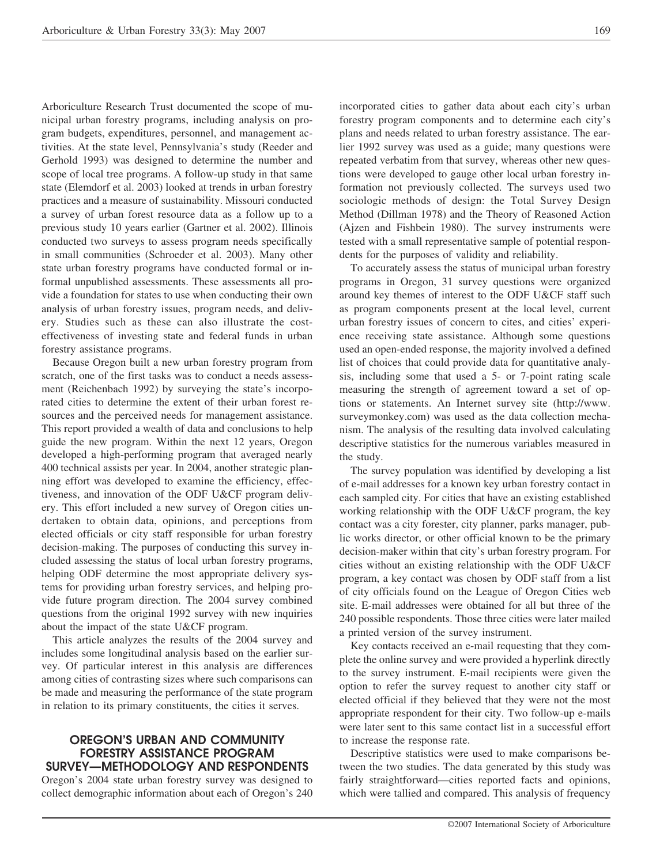Arboriculture Research Trust documented the scope of municipal urban forestry programs, including analysis on program budgets, expenditures, personnel, and management activities. At the state level, Pennsylvania's study (Reeder and Gerhold 1993) was designed to determine the number and scope of local tree programs. A follow-up study in that same state (Elemdorf et al. 2003) looked at trends in urban forestry practices and a measure of sustainability. Missouri conducted a survey of urban forest resource data as a follow up to a previous study 10 years earlier (Gartner et al. 2002). Illinois conducted two surveys to assess program needs specifically in small communities (Schroeder et al. 2003). Many other state urban forestry programs have conducted formal or informal unpublished assessments. These assessments all provide a foundation for states to use when conducting their own analysis of urban forestry issues, program needs, and delivery. Studies such as these can also illustrate the costeffectiveness of investing state and federal funds in urban forestry assistance programs.

Because Oregon built a new urban forestry program from scratch, one of the first tasks was to conduct a needs assessment (Reichenbach 1992) by surveying the state's incorporated cities to determine the extent of their urban forest resources and the perceived needs for management assistance. This report provided a wealth of data and conclusions to help guide the new program. Within the next 12 years, Oregon developed a high-performing program that averaged nearly 400 technical assists per year. In 2004, another strategic planning effort was developed to examine the efficiency, effectiveness, and innovation of the ODF U&CF program delivery. This effort included a new survey of Oregon cities undertaken to obtain data, opinions, and perceptions from elected officials or city staff responsible for urban forestry decision-making. The purposes of conducting this survey included assessing the status of local urban forestry programs, helping ODF determine the most appropriate delivery systems for providing urban forestry services, and helping provide future program direction. The 2004 survey combined questions from the original 1992 survey with new inquiries about the impact of the state U&CF program.

This article analyzes the results of the 2004 survey and includes some longitudinal analysis based on the earlier survey. Of particular interest in this analysis are differences among cities of contrasting sizes where such comparisons can be made and measuring the performance of the state program in relation to its primary constituents, the cities it serves.

#### **OREGON'S URBAN AND COMMUNITY FORESTRY ASSISTANCE PROGRAM SURVEY—METHODOLOGY AND RESPONDENTS**

Oregon's 2004 state urban forestry survey was designed to collect demographic information about each of Oregon's 240 incorporated cities to gather data about each city's urban forestry program components and to determine each city's plans and needs related to urban forestry assistance. The earlier 1992 survey was used as a guide; many questions were repeated verbatim from that survey, whereas other new questions were developed to gauge other local urban forestry information not previously collected. The surveys used two sociologic methods of design: the Total Survey Design Method (Dillman 1978) and the Theory of Reasoned Action (Ajzen and Fishbein 1980). The survey instruments were tested with a small representative sample of potential respondents for the purposes of validity and reliability.

To accurately assess the status of municipal urban forestry programs in Oregon, 31 survey questions were organized around key themes of interest to the ODF U&CF staff such as program components present at the local level, current urban forestry issues of concern to cites, and cities' experience receiving state assistance. Although some questions used an open-ended response, the majority involved a defined list of choices that could provide data for quantitative analysis, including some that used a 5- or 7-point rating scale measuring the strength of agreement toward a set of options or statements. An Internet survey site (http://www. surveymonkey.com) was used as the data collection mechanism. The analysis of the resulting data involved calculating descriptive statistics for the numerous variables measured in the study.

The survey population was identified by developing a list of e-mail addresses for a known key urban forestry contact in each sampled city. For cities that have an existing established working relationship with the ODF U&CF program, the key contact was a city forester, city planner, parks manager, public works director, or other official known to be the primary decision-maker within that city's urban forestry program. For cities without an existing relationship with the ODF U&CF program, a key contact was chosen by ODF staff from a list of city officials found on the League of Oregon Cities web site. E-mail addresses were obtained for all but three of the 240 possible respondents. Those three cities were later mailed a printed version of the survey instrument.

Key contacts received an e-mail requesting that they complete the online survey and were provided a hyperlink directly to the survey instrument. E-mail recipients were given the option to refer the survey request to another city staff or elected official if they believed that they were not the most appropriate respondent for their city. Two follow-up e-mails were later sent to this same contact list in a successful effort to increase the response rate.

Descriptive statistics were used to make comparisons between the two studies. The data generated by this study was fairly straightforward—cities reported facts and opinions, which were tallied and compared. This analysis of frequency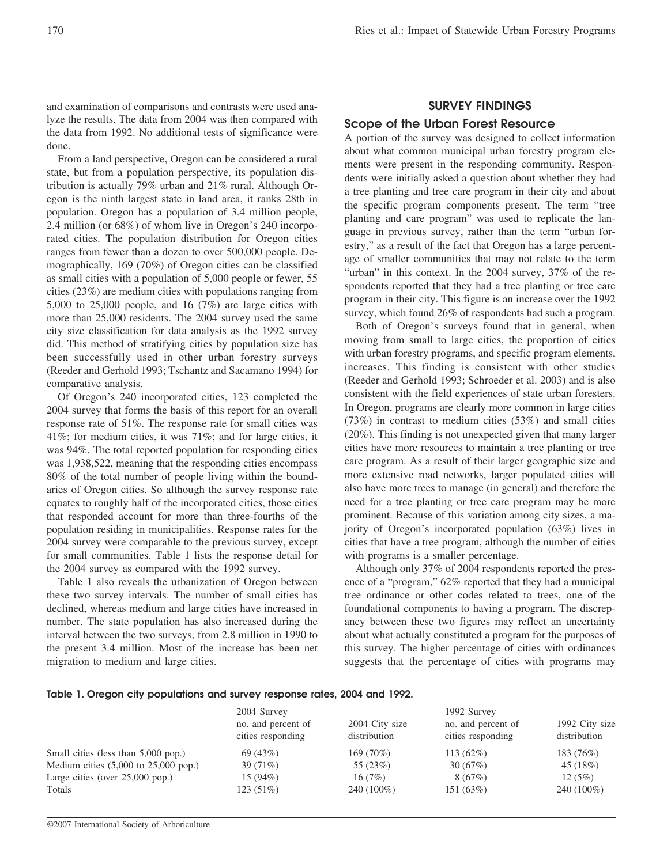and examination of comparisons and contrasts were used analyze the results. The data from 2004 was then compared with the data from 1992. No additional tests of significance were done.

From a land perspective, Oregon can be considered a rural state, but from a population perspective, its population distribution is actually 79% urban and 21% rural. Although Oregon is the ninth largest state in land area, it ranks 28th in population. Oregon has a population of 3.4 million people, 2.4 million (or 68%) of whom live in Oregon's 240 incorporated cities. The population distribution for Oregon cities ranges from fewer than a dozen to over 500,000 people. Demographically, 169 (70%) of Oregon cities can be classified as small cities with a population of 5,000 people or fewer, 55 cities (23%) are medium cities with populations ranging from 5,000 to 25,000 people, and 16 (7%) are large cities with more than 25,000 residents. The 2004 survey used the same city size classification for data analysis as the 1992 survey did. This method of stratifying cities by population size has been successfully used in other urban forestry surveys (Reeder and Gerhold 1993; Tschantz and Sacamano 1994) for comparative analysis.

Of Oregon's 240 incorporated cities, 123 completed the 2004 survey that forms the basis of this report for an overall response rate of 51%. The response rate for small cities was 41%; for medium cities, it was 71%; and for large cities, it was 94%. The total reported population for responding cities was 1,938,522, meaning that the responding cities encompass 80% of the total number of people living within the boundaries of Oregon cities. So although the survey response rate equates to roughly half of the incorporated cities, those cities that responded account for more than three-fourths of the population residing in municipalities. Response rates for the 2004 survey were comparable to the previous survey, except for small communities. Table 1 lists the response detail for the 2004 survey as compared with the 1992 survey.

Table 1 also reveals the urbanization of Oregon between these two survey intervals. The number of small cities has declined, whereas medium and large cities have increased in number. The state population has also increased during the interval between the two surveys, from 2.8 million in 1990 to the present 3.4 million. Most of the increase has been net migration to medium and large cities.

# **SURVEY FINDINGS Scope of the Urban Forest Resource**

A portion of the survey was designed to collect information about what common municipal urban forestry program elements were present in the responding community. Respondents were initially asked a question about whether they had a tree planting and tree care program in their city and about the specific program components present. The term "tree planting and care program" was used to replicate the language in previous survey, rather than the term "urban forestry," as a result of the fact that Oregon has a large percentage of smaller communities that may not relate to the term "urban" in this context. In the 2004 survey, 37% of the respondents reported that they had a tree planting or tree care program in their city. This figure is an increase over the 1992 survey, which found 26% of respondents had such a program.

Both of Oregon's surveys found that in general, when moving from small to large cities, the proportion of cities with urban forestry programs, and specific program elements, increases. This finding is consistent with other studies (Reeder and Gerhold 1993; Schroeder et al. 2003) and is also consistent with the field experiences of state urban foresters. In Oregon, programs are clearly more common in large cities (73%) in contrast to medium cities (53%) and small cities (20%). This finding is not unexpected given that many larger cities have more resources to maintain a tree planting or tree care program. As a result of their larger geographic size and more extensive road networks, larger populated cities will also have more trees to manage (in general) and therefore the need for a tree planting or tree care program may be more prominent. Because of this variation among city sizes, a majority of Oregon's incorporated population (63%) lives in cities that have a tree program, although the number of cities with programs is a smaller percentage.

Although only 37% of 2004 respondents reported the presence of a "program," 62% reported that they had a municipal tree ordinance or other codes related to trees, one of the foundational components to having a program. The discrepancy between these two figures may reflect an uncertainty about what actually constituted a program for the purposes of this survey. The higher percentage of cities with ordinances suggests that the percentage of cities with programs may

|  |  |  | Table 1. Oregon city populations and survey response rates, 2004 and 1992. |  |  |  |  |  |  |
|--|--|--|----------------------------------------------------------------------------|--|--|--|--|--|--|
|--|--|--|----------------------------------------------------------------------------|--|--|--|--|--|--|

|                                                         | 2004 Survey<br>no. and percent of<br>cities responding | 2004 City size<br>distribution | 1992 Survey<br>no. and percent of<br>cities responding | 1992 City size<br>distribution |
|---------------------------------------------------------|--------------------------------------------------------|--------------------------------|--------------------------------------------------------|--------------------------------|
| Small cities (less than 5,000 pop.)                     | 69(43%)                                                | $169(70\%)$                    | $113(62\%)$                                            | 183 (76%)                      |
| Medium cities $(5,000 \text{ to } 25,000 \text{ pop.})$ | $39(71\%)$                                             | 55 (23%)                       | 30(67%)                                                | 45 (18%)                       |
| Large cities (over $25,000$ pop.)                       | $15(94\%)$                                             | 16(7%)                         | 8(67%)                                                 | 12(5%)                         |
| Totals                                                  | $123(51\%)$                                            | 240 (100%)                     | 151 (63%)                                              | 240 (100%)                     |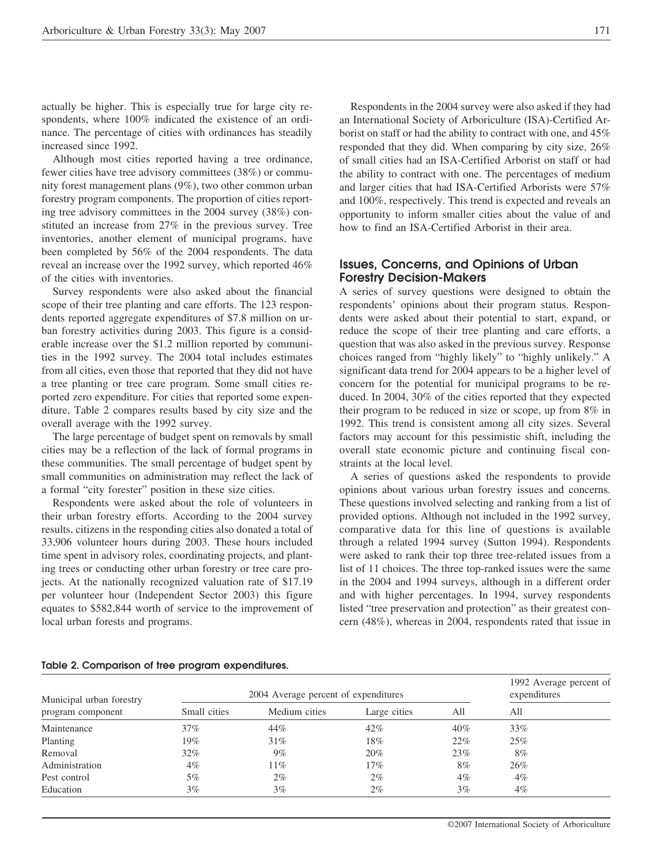actually be higher. This is especially true for large city respondents, where  $100\%$  indicated the existence of an ordinance. The percentage of cities with ordinances has steadily increased since 1992.

Although most cities reported having a tree ordinance, fewer cities have tree advisory committees (38%) or community forest management plans (9%), two other common urban forestry program components. The proportion of cities reporting tree advisory committees in the 2004 survey (38%) constituted an increase from 27% in the previous survey. Tree inventories, another element of municipal programs, have been completed by 56% of the 2004 respondents. The data reveal an increase over the 1992 survey, which reported 46% of the cities with inventories.

Survey respondents were also asked about the financial scope of their tree planting and care efforts. The 123 respondents reported aggregate expenditures of \$7.8 million on urban forestry activities during 2003. This figure is a considerable increase over the \$1.2 million reported by communities in the 1992 survey. The 2004 total includes estimates from all cities, even those that reported that they did not have a tree planting or tree care program. Some small cities reported zero expenditure. For cities that reported some expenditure, Table 2 compares results based by city size and the overall average with the 1992 survey.

The large percentage of budget spent on removals by small cities may be a reflection of the lack of formal programs in these communities. The small percentage of budget spent by small communities on administration may reflect the lack of a formal "city forester" position in these size cities.

Respondents were asked about the role of volunteers in their urban forestry efforts. According to the 2004 survey results, citizens in the responding cities also donated a total of 33,906 volunteer hours during 2003. These hours included time spent in advisory roles, coordinating projects, and planting trees or conducting other urban forestry or tree care projects. At the nationally recognized valuation rate of \$17.19 per volunteer hour (Independent Sector 2003) this figure equates to \$582,844 worth of service to the improvement of local urban forests and programs.

Respondents in the 2004 survey were also asked if they had an International Society of Arboriculture (ISA)-Certified Arborist on staff or had the ability to contract with one, and 45% responded that they did. When comparing by city size, 26% of small cities had an ISA-Certified Arborist on staff or had the ability to contract with one. The percentages of medium and larger cities that had ISA-Certified Arborists were 57% and 100%, respectively. This trend is expected and reveals an opportunity to inform smaller cities about the value of and how to find an ISA-Certified Arborist in their area.

#### **Issues, Concerns, and Opinions of Urban Forestry Decision-Makers**

A series of survey questions were designed to obtain the respondents' opinions about their program status. Respondents were asked about their potential to start, expand, or reduce the scope of their tree planting and care efforts, a question that was also asked in the previous survey. Response choices ranged from "highly likely" to "highly unlikely." A significant data trend for 2004 appears to be a higher level of concern for the potential for municipal programs to be reduced. In 2004, 30% of the cities reported that they expected their program to be reduced in size or scope, up from 8% in 1992. This trend is consistent among all city sizes. Several factors may account for this pessimistic shift, including the overall state economic picture and continuing fiscal constraints at the local level.

A series of questions asked the respondents to provide opinions about various urban forestry issues and concerns. These questions involved selecting and ranking from a list of provided options. Although not included in the 1992 survey, comparative data for this line of questions is available through a related 1994 survey (Sutton 1994). Respondents were asked to rank their top three tree-related issues from a list of 11 choices. The three top-ranked issues were the same in the 2004 and 1994 surveys, although in a different order and with higher percentages. In 1994, survey respondents listed "tree preservation and protection" as their greatest concern (48%), whereas in 2004, respondents rated that issue in

| Municipal urban forestry | 2004 Average percent of expenditures | 1992 Average percent of<br>expenditures |              |        |     |
|--------------------------|--------------------------------------|-----------------------------------------|--------------|--------|-----|
| program component        | Small cities                         | Medium cities                           | Large cities | All    | All |
| Maintenance              | $37\%$                               | 44%                                     | 42%          | $40\%$ | 33% |
| Planting                 | 19%                                  | 31%                                     | 18%          | 22%    | 25% |
| Removal                  | 32%                                  | $9\%$                                   | 20%          | 23%    | 8%  |
| Administration           | 4%                                   | $11\%$                                  | 17%          | 8%     | 26% |
| Pest control             | 5%                                   | $2\%$                                   | $2\%$        | $4\%$  | 4%  |
| Education                | $3\%$                                | $3\%$                                   | $2\%$        | $3\%$  | 4%  |

#### **Table 2. Comparison of tree program expenditures.**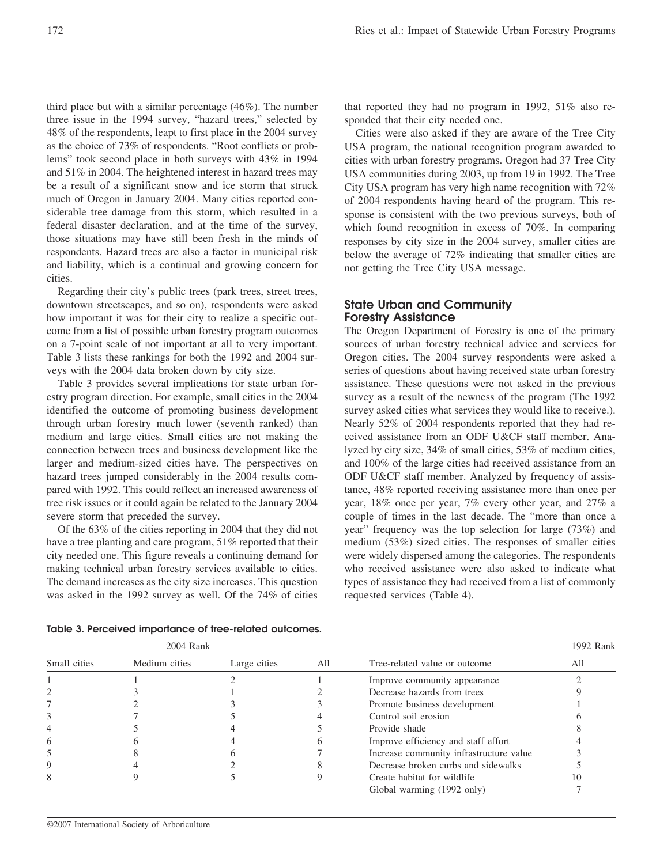third place but with a similar percentage (46%). The number three issue in the 1994 survey, "hazard trees," selected by 48% of the respondents, leapt to first place in the 2004 survey as the choice of 73% of respondents. "Root conflicts or problems" took second place in both surveys with 43% in 1994 and 51% in 2004. The heightened interest in hazard trees may be a result of a significant snow and ice storm that struck much of Oregon in January 2004. Many cities reported considerable tree damage from this storm, which resulted in a federal disaster declaration, and at the time of the survey, those situations may have still been fresh in the minds of respondents. Hazard trees are also a factor in municipal risk and liability, which is a continual and growing concern for cities.

Regarding their city's public trees (park trees, street trees, downtown streetscapes, and so on), respondents were asked how important it was for their city to realize a specific outcome from a list of possible urban forestry program outcomes on a 7-point scale of not important at all to very important. Table 3 lists these rankings for both the 1992 and 2004 surveys with the 2004 data broken down by city size.

Table 3 provides several implications for state urban forestry program direction. For example, small cities in the 2004 identified the outcome of promoting business development through urban forestry much lower (seventh ranked) than medium and large cities. Small cities are not making the connection between trees and business development like the larger and medium-sized cities have. The perspectives on hazard trees jumped considerably in the 2004 results compared with 1992. This could reflect an increased awareness of tree risk issues or it could again be related to the January 2004 severe storm that preceded the survey.

Of the 63% of the cities reporting in 2004 that they did not have a tree planting and care program, 51% reported that their city needed one. This figure reveals a continuing demand for making technical urban forestry services available to cities. The demand increases as the city size increases. This question was asked in the 1992 survey as well. Of the 74% of cities

that reported they had no program in 1992, 51% also responded that their city needed one.

Cities were also asked if they are aware of the Tree City USA program, the national recognition program awarded to cities with urban forestry programs. Oregon had 37 Tree City USA communities during 2003, up from 19 in 1992. The Tree City USA program has very high name recognition with 72% of 2004 respondents having heard of the program. This response is consistent with the two previous surveys, both of which found recognition in excess of 70%. In comparing responses by city size in the 2004 survey, smaller cities are below the average of 72% indicating that smaller cities are not getting the Tree City USA message.

## **State Urban and Community Forestry Assistance**

The Oregon Department of Forestry is one of the primary sources of urban forestry technical advice and services for Oregon cities. The 2004 survey respondents were asked a series of questions about having received state urban forestry assistance. These questions were not asked in the previous survey as a result of the newness of the program (The 1992 survey asked cities what services they would like to receive.). Nearly 52% of 2004 respondents reported that they had received assistance from an ODF U&CF staff member. Analyzed by city size, 34% of small cities, 53% of medium cities, and 100% of the large cities had received assistance from an ODF U&CF staff member. Analyzed by frequency of assistance, 48% reported receiving assistance more than once per year, 18% once per year, 7% every other year, and 27% a couple of times in the last decade. The "more than once a year" frequency was the top selection for large (73%) and medium (53%) sized cities. The responses of smaller cities were widely dispersed among the categories. The respondents who received assistance were also asked to indicate what types of assistance they had received from a list of commonly requested services (Table 4).

|              | 2004 Rank     |              |     | 1992 Rank                               |     |
|--------------|---------------|--------------|-----|-----------------------------------------|-----|
| Small cities | Medium cities | Large cities | All | Tree-related value or outcome           | All |
|              |               |              |     | Improve community appearance            |     |
|              |               |              |     | Decrease hazards from trees             |     |
|              |               |              |     | Promote business development            |     |
|              |               |              |     | Control soil erosion                    |     |
|              |               |              |     | Provide shade                           |     |
|              |               |              |     | Improve efficiency and staff effort     |     |
|              |               |              |     | Increase community infrastructure value |     |
|              |               |              |     | Decrease broken curbs and sidewalks     |     |
|              |               |              |     | Create habitat for wildlife             |     |
|              |               |              |     | Global warming (1992 only)              |     |

**Table 3. Perceived importance of tree-related outcomes.**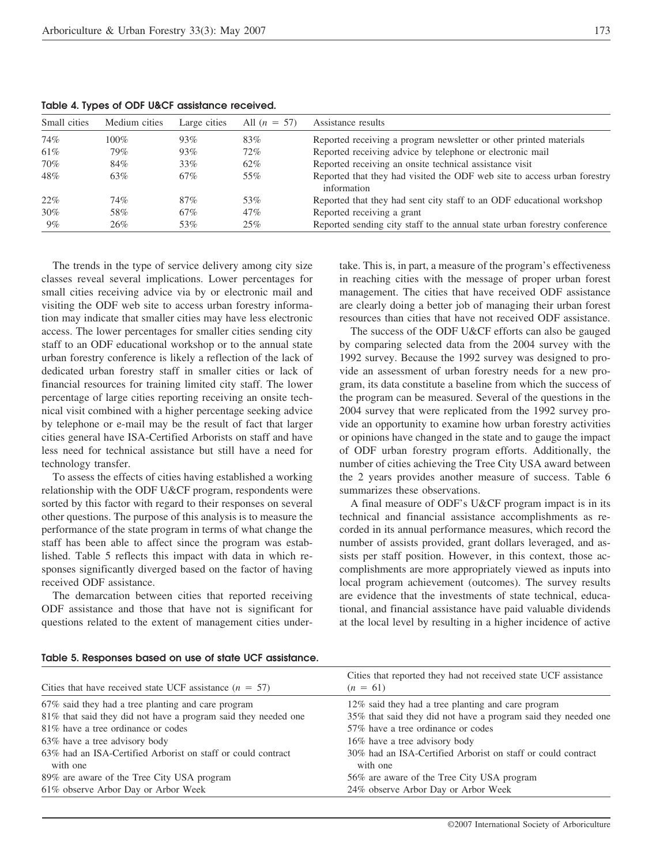| $1.91919 - 1111999 - 0119991 - 00091 - 000919191100 - 100091100011$ |               |              |                |                                                                                         |  |
|---------------------------------------------------------------------|---------------|--------------|----------------|-----------------------------------------------------------------------------------------|--|
| Small cities                                                        | Medium cities | Large cities | All $(n = 57)$ | Assistance results                                                                      |  |
| 74%                                                                 | $100\%$       | 93%          | 83%            | Reported receiving a program newsletter or other printed materials                      |  |
| 61\%                                                                | 79%           | 93%          | 72%            | Reported receiving advice by telephone or electronic mail                               |  |
| 70%                                                                 | 84%           | 33%          | 62%            | Reported receiving an onsite technical assistance visit                                 |  |
| 48%                                                                 | 63%           | 67%          | 55%            | Reported that they had visited the ODF web site to access urban forestry<br>information |  |
| 22%                                                                 | 74%           | 87%          | 53%            | Reported that they had sent city staff to an ODF educational workshop                   |  |
| $30\%$                                                              | 58%           | 67%          | 47%            | Reported receiving a grant                                                              |  |
| $9\%$                                                               | 26%           | 53%          | 25%            | Reported sending city staff to the annual state urban forestry conference               |  |
|                                                                     |               |              |                |                                                                                         |  |

**Table 4. Types of ODF U&CF assistance received.**

The trends in the type of service delivery among city size classes reveal several implications. Lower percentages for small cities receiving advice via by or electronic mail and visiting the ODF web site to access urban forestry information may indicate that smaller cities may have less electronic access. The lower percentages for smaller cities sending city staff to an ODF educational workshop or to the annual state urban forestry conference is likely a reflection of the lack of dedicated urban forestry staff in smaller cities or lack of financial resources for training limited city staff. The lower percentage of large cities reporting receiving an onsite technical visit combined with a higher percentage seeking advice by telephone or e-mail may be the result of fact that larger cities general have ISA-Certified Arborists on staff and have less need for technical assistance but still have a need for technology transfer.

To assess the effects of cities having established a working relationship with the ODF U&CF program, respondents were sorted by this factor with regard to their responses on several other questions. The purpose of this analysis is to measure the performance of the state program in terms of what change the staff has been able to affect since the program was established. Table 5 reflects this impact with data in which responses significantly diverged based on the factor of having received ODF assistance.

The demarcation between cities that reported receiving ODF assistance and those that have not is significant for questions related to the extent of management cities undertake. This is, in part, a measure of the program's effectiveness in reaching cities with the message of proper urban forest management. The cities that have received ODF assistance are clearly doing a better job of managing their urban forest resources than cities that have not received ODF assistance.

The success of the ODF U&CF efforts can also be gauged by comparing selected data from the 2004 survey with the 1992 survey. Because the 1992 survey was designed to provide an assessment of urban forestry needs for a new program, its data constitute a baseline from which the success of the program can be measured. Several of the questions in the 2004 survey that were replicated from the 1992 survey provide an opportunity to examine how urban forestry activities or opinions have changed in the state and to gauge the impact of ODF urban forestry program efforts. Additionally, the number of cities achieving the Tree City USA award between the 2 years provides another measure of success. Table 6 summarizes these observations.

A final measure of ODF's U&CF program impact is in its technical and financial assistance accomplishments as recorded in its annual performance measures, which record the number of assists provided, grant dollars leveraged, and assists per staff position. However, in this context, those accomplishments are more appropriately viewed as inputs into local program achievement (outcomes). The survey results are evidence that the investments of state technical, educational, and financial assistance have paid valuable dividends at the local level by resulting in a higher incidence of active

| Table 5. Responses based on use of state UCF assistance. |  |
|----------------------------------------------------------|--|
|----------------------------------------------------------|--|

| Cities that have received state UCF assistance $(n = 57)$                | Cities that reported they had not received state UCF assistance<br>$(n = 61)$ |
|--------------------------------------------------------------------------|-------------------------------------------------------------------------------|
| 67% said they had a tree planting and care program                       | 12% said they had a tree planting and care program                            |
| 81% that said they did not have a program said they needed one           | 35% that said they did not have a program said they needed one                |
| 81% have a tree ordinance or codes                                       | 57% have a tree ordinance or codes                                            |
| 63% have a tree advisory body                                            | 16% have a tree advisory body                                                 |
| 63% had an ISA-Certified Arborist on staff or could contract<br>with one | 30% had an ISA-Certified Arborist on staff or could contract<br>with one      |
| 89% are aware of the Tree City USA program                               | 56% are aware of the Tree City USA program                                    |
| 61% observe Arbor Day or Arbor Week                                      | 24% observe Arbor Day or Arbor Week                                           |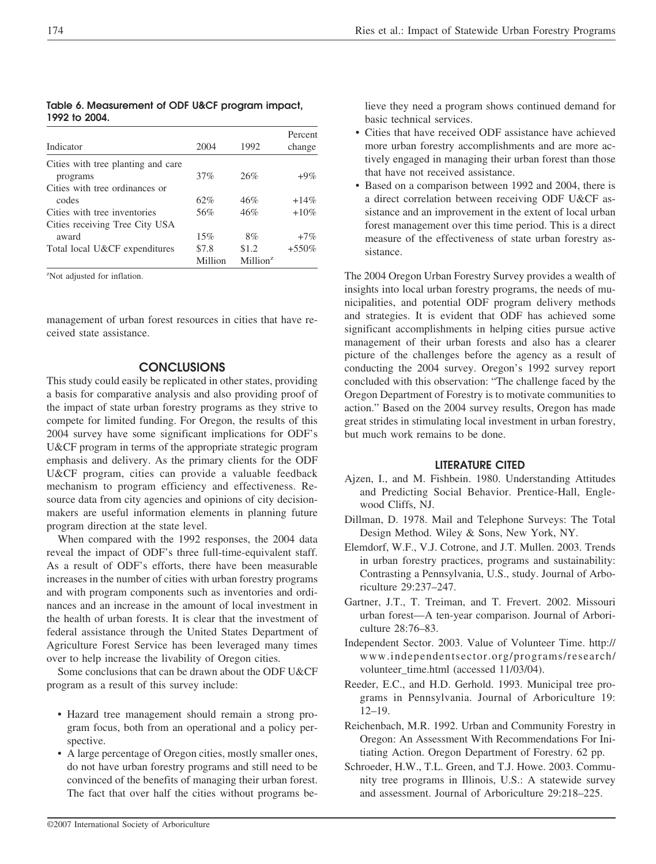Indicator 2004 1992 Percent change Cities with tree planting and care programs  $37\%$   $26\%$   $+9\%$ Cities with tree ordinances or codes  $62\%$   $46\%$   $+14\%$ Cities with tree inventories  $56\%$   $46\%$   $+10\%$ Cities receiving Tree City USA award  $15\%$   $8\%$   $+7\%$ Total local U&CF expenditures \$7.8 \$1.2 +550% Million Million<sup>z</sup>

**Table 6. Measurement of ODF U&CF program impact, 1992 to 2004.**

z Not adjusted for inflation.

management of urban forest resources in cities that have received state assistance.

### **CONCLUSIONS**

This study could easily be replicated in other states, providing a basis for comparative analysis and also providing proof of the impact of state urban forestry programs as they strive to compete for limited funding. For Oregon, the results of this 2004 survey have some significant implications for ODF's U&CF program in terms of the appropriate strategic program emphasis and delivery. As the primary clients for the ODF U&CF program, cities can provide a valuable feedback mechanism to program efficiency and effectiveness. Resource data from city agencies and opinions of city decisionmakers are useful information elements in planning future program direction at the state level.

When compared with the 1992 responses, the 2004 data reveal the impact of ODF's three full-time-equivalent staff. As a result of ODF's efforts, there have been measurable increases in the number of cities with urban forestry programs and with program components such as inventories and ordinances and an increase in the amount of local investment in the health of urban forests. It is clear that the investment of federal assistance through the United States Department of Agriculture Forest Service has been leveraged many times over to help increase the livability of Oregon cities.

Some conclusions that can be drawn about the ODF U&CF program as a result of this survey include:

- Hazard tree management should remain a strong program focus, both from an operational and a policy perspective.
- A large percentage of Oregon cities, mostly smaller ones, do not have urban forestry programs and still need to be convinced of the benefits of managing their urban forest. The fact that over half the cities without programs be-

lieve they need a program shows continued demand for basic technical services.

- Cities that have received ODF assistance have achieved more urban forestry accomplishments and are more actively engaged in managing their urban forest than those that have not received assistance.
- Based on a comparison between 1992 and 2004, there is a direct correlation between receiving ODF U&CF assistance and an improvement in the extent of local urban forest management over this time period. This is a direct measure of the effectiveness of state urban forestry assistance.

The 2004 Oregon Urban Forestry Survey provides a wealth of insights into local urban forestry programs, the needs of municipalities, and potential ODF program delivery methods and strategies. It is evident that ODF has achieved some significant accomplishments in helping cities pursue active management of their urban forests and also has a clearer picture of the challenges before the agency as a result of conducting the 2004 survey. Oregon's 1992 survey report concluded with this observation: "The challenge faced by the Oregon Department of Forestry is to motivate communities to action." Based on the 2004 survey results, Oregon has made great strides in stimulating local investment in urban forestry, but much work remains to be done.

#### **LITERATURE CITED**

- Ajzen, I., and M. Fishbein. 1980. Understanding Attitudes and Predicting Social Behavior. Prentice-Hall, Englewood Cliffs, NJ.
- Dillman, D. 1978. Mail and Telephone Surveys: The Total Design Method. Wiley & Sons, New York, NY.
- Elemdorf, W.F., V.J. Cotrone, and J.T. Mullen. 2003. Trends in urban forestry practices, programs and sustainability: Contrasting a Pennsylvania, U.S., study. Journal of Arboriculture 29:237–247.
- Gartner, J.T., T. Treiman, and T. Frevert. 2002. Missouri urban forest—A ten-year comparison. Journal of Arboriculture 28:76–83.
- Independent Sector. 2003. Value of Volunteer Time. http:// www.independentsector.org/programs/research/ volunteer\_time.html (accessed 11/03/04).
- Reeder, E.C., and H.D. Gerhold. 1993. Municipal tree programs in Pennsylvania. Journal of Arboriculture 19: 12–19.
- Reichenbach, M.R. 1992. Urban and Community Forestry in Oregon: An Assessment With Recommendations For Initiating Action. Oregon Department of Forestry. 62 pp.
- Schroeder, H.W., T.L. Green, and T.J. Howe. 2003. Community tree programs in Illinois, U.S.: A statewide survey and assessment. Journal of Arboriculture 29:218–225.